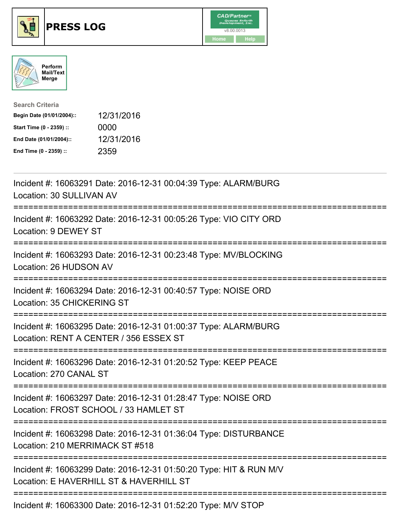





| <b>Search Criteria</b>    |            |
|---------------------------|------------|
| Begin Date (01/01/2004):: | 12/31/2016 |
| Start Time (0 - 2359) ::  | 0000       |
| End Date (01/01/2004)::   | 12/31/2016 |
| End Time (0 - 2359) ::    | 2359       |

| Incident #: 16063291 Date: 2016-12-31 00:04:39 Type: ALARM/BURG<br>Location: 30 SULLIVAN AV                   |
|---------------------------------------------------------------------------------------------------------------|
| Incident #: 16063292 Date: 2016-12-31 00:05:26 Type: VIO CITY ORD<br>Location: 9 DEWEY ST                     |
| Incident #: 16063293 Date: 2016-12-31 00:23:48 Type: MV/BLOCKING<br>Location: 26 HUDSON AV                    |
| Incident #: 16063294 Date: 2016-12-31 00:40:57 Type: NOISE ORD<br>Location: 35 CHICKERING ST<br>============  |
| Incident #: 16063295 Date: 2016-12-31 01:00:37 Type: ALARM/BURG<br>Location: RENT A CENTER / 356 ESSEX ST     |
| Incident #: 16063296 Date: 2016-12-31 01:20:52 Type: KEEP PEACE<br>Location: 270 CANAL ST                     |
| Incident #: 16063297 Date: 2016-12-31 01:28:47 Type: NOISE ORD<br>Location: FROST SCHOOL / 33 HAMLET ST       |
| Incident #: 16063298 Date: 2016-12-31 01:36:04 Type: DISTURBANCE<br>Location: 210 MERRIMACK ST #518           |
| Incident #: 16063299 Date: 2016-12-31 01:50:20 Type: HIT & RUN M/V<br>Location: E HAVERHILL ST & HAVERHILL ST |
| Incident #: 16063300 Date: 2016-12-31 01:52:20 Type: M/V STOP                                                 |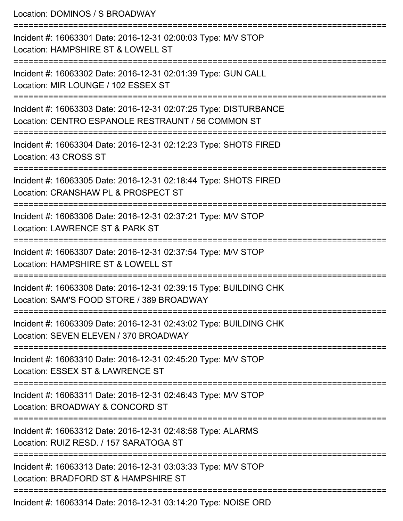| Location: DOMINOS / S BROADWAY                                                                                                                       |
|------------------------------------------------------------------------------------------------------------------------------------------------------|
| Incident #: 16063301 Date: 2016-12-31 02:00:03 Type: M/V STOP<br>Location: HAMPSHIRE ST & LOWELL ST<br>=====================                         |
| Incident #: 16063302 Date: 2016-12-31 02:01:39 Type: GUN CALL<br>Location: MIR LOUNGE / 102 ESSEX ST                                                 |
| Incident #: 16063303 Date: 2016-12-31 02:07:25 Type: DISTURBANCE<br>Location: CENTRO ESPANOLE RESTRAUNT / 56 COMMON ST                               |
| =============================<br>:=====================<br>Incident #: 16063304 Date: 2016-12-31 02:12:23 Type: SHOTS FIRED<br>Location: 43 CROSS ST |
| Incident #: 16063305 Date: 2016-12-31 02:18:44 Type: SHOTS FIRED<br>Location: CRANSHAW PL & PROSPECT ST                                              |
| Incident #: 16063306 Date: 2016-12-31 02:37:21 Type: M/V STOP<br>Location: LAWRENCE ST & PARK ST                                                     |
| Incident #: 16063307 Date: 2016-12-31 02:37:54 Type: M/V STOP<br>Location: HAMPSHIRE ST & LOWELL ST                                                  |
| Incident #: 16063308 Date: 2016-12-31 02:39:15 Type: BUILDING CHK<br>Location: SAM'S FOOD STORE / 389 BROADWAY                                       |
| Incident #: 16063309 Date: 2016-12-31 02:43:02 Type: BUILDING CHK<br>Location: SEVEN ELEVEN / 370 BROADWAY                                           |
| Incident #: 16063310 Date: 2016-12-31 02:45:20 Type: M/V STOP<br>Location: ESSEX ST & LAWRENCE ST                                                    |
| Incident #: 16063311 Date: 2016-12-31 02:46:43 Type: M/V STOP<br>Location: BROADWAY & CONCORD ST                                                     |
| Incident #: 16063312 Date: 2016-12-31 02:48:58 Type: ALARMS<br>Location: RUIZ RESD. / 157 SARATOGA ST                                                |
| Incident #: 16063313 Date: 2016-12-31 03:03:33 Type: M/V STOP<br>Location: BRADFORD ST & HAMPSHIRE ST                                                |
| Incident #: 16063314 Date: 2016-12-31 03:14:20 Type: NOISE ORD                                                                                       |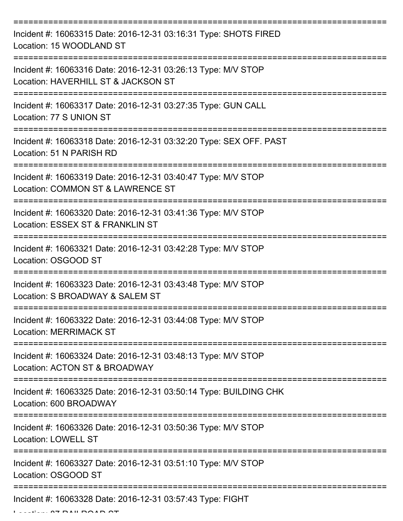| Incident #: 16063315 Date: 2016-12-31 03:16:31 Type: SHOTS FIRED<br>Location: 15 WOODLAND ST         |
|------------------------------------------------------------------------------------------------------|
| Incident #: 16063316 Date: 2016-12-31 03:26:13 Type: M/V STOP<br>Location: HAVERHILL ST & JACKSON ST |
| Incident #: 16063317 Date: 2016-12-31 03:27:35 Type: GUN CALL<br>Location: 77 S UNION ST             |
| Incident #: 16063318 Date: 2016-12-31 03:32:20 Type: SEX OFF. PAST<br>Location: 51 N PARISH RD       |
| Incident #: 16063319 Date: 2016-12-31 03:40:47 Type: M/V STOP<br>Location: COMMON ST & LAWRENCE ST   |
| Incident #: 16063320 Date: 2016-12-31 03:41:36 Type: M/V STOP<br>Location: ESSEX ST & FRANKLIN ST    |
| Incident #: 16063321 Date: 2016-12-31 03:42:28 Type: M/V STOP<br>Location: OSGOOD ST                 |
| Incident #: 16063323 Date: 2016-12-31 03:43:48 Type: M/V STOP<br>Location: S BROADWAY & SALEM ST     |
| Incident #: 16063322 Date: 2016-12-31 03:44:08 Type: M/V STOP<br><b>Location: MERRIMACK ST</b>       |
| Incident #: 16063324 Date: 2016-12-31 03:48:13 Type: M/V STOP<br>Location: ACTON ST & BROADWAY       |
| Incident #: 16063325 Date: 2016-12-31 03:50:14 Type: BUILDING CHK<br>Location: 600 BROADWAY          |
| Incident #: 16063326 Date: 2016-12-31 03:50:36 Type: M/V STOP<br><b>Location: LOWELL ST</b>          |
| Incident #: 16063327 Date: 2016-12-31 03:51:10 Type: M/V STOP<br>Location: OSGOOD ST                 |
| Incident #: 16063328 Date: 2016-12-31 03:57:43 Type: FIGHT                                           |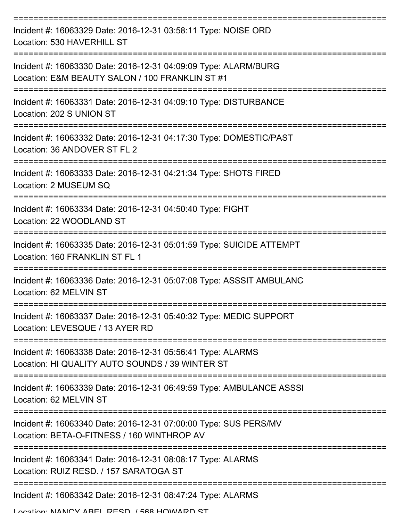| Incident #: 16063329 Date: 2016-12-31 03:58:11 Type: NOISE ORD<br>Location: 530 HAVERHILL ST                       |
|--------------------------------------------------------------------------------------------------------------------|
| Incident #: 16063330 Date: 2016-12-31 04:09:09 Type: ALARM/BURG<br>Location: E&M BEAUTY SALON / 100 FRANKLIN ST #1 |
| Incident #: 16063331 Date: 2016-12-31 04:09:10 Type: DISTURBANCE<br>Location: 202 S UNION ST                       |
| Incident #: 16063332 Date: 2016-12-31 04:17:30 Type: DOMESTIC/PAST<br>Location: 36 ANDOVER ST FL 2                 |
| Incident #: 16063333 Date: 2016-12-31 04:21:34 Type: SHOTS FIRED<br>Location: 2 MUSEUM SQ                          |
| Incident #: 16063334 Date: 2016-12-31 04:50:40 Type: FIGHT<br>Location: 22 WOODLAND ST                             |
| Incident #: 16063335 Date: 2016-12-31 05:01:59 Type: SUICIDE ATTEMPT<br>Location: 160 FRANKLIN ST FL 1             |
| Incident #: 16063336 Date: 2016-12-31 05:07:08 Type: ASSSIT AMBULANC<br>Location: 62 MELVIN ST                     |
| Incident #: 16063337 Date: 2016-12-31 05:40:32 Type: MEDIC SUPPORT<br>Location: LEVESQUE / 13 AYER RD              |
| Incident #: 16063338 Date: 2016-12-31 05:56:41 Type: ALARMS<br>Location: HI QUALITY AUTO SOUNDS / 39 WINTER ST     |
| Incident #: 16063339 Date: 2016-12-31 06:49:59 Type: AMBULANCE ASSSI<br>Location: 62 MELVIN ST                     |
| Incident #: 16063340 Date: 2016-12-31 07:00:00 Type: SUS PERS/MV<br>Location: BETA-O-FITNESS / 160 WINTHROP AV     |
| Incident #: 16063341 Date: 2016-12-31 08:08:17 Type: ALARMS<br>Location: RUIZ RESD. / 157 SARATOGA ST              |
| Incident #: 16063342 Date: 2016-12-31 08:47:24 Type: ALARMS                                                        |

Location: NANIOV ABEL BESD. / 568 HOWARD ST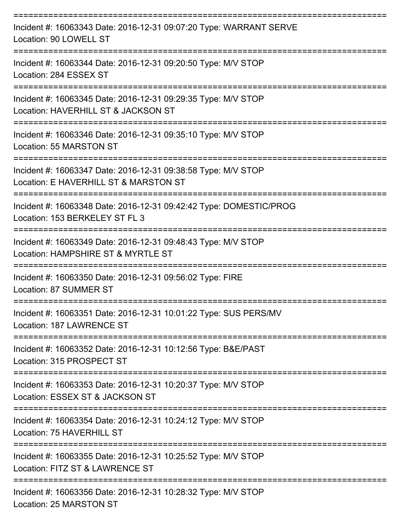| Incident #: 16063343 Date: 2016-12-31 09:07:20 Type: WARRANT SERVE<br>Location: 90 LOWELL ST           |
|--------------------------------------------------------------------------------------------------------|
| Incident #: 16063344 Date: 2016-12-31 09:20:50 Type: M/V STOP<br>Location: 284 ESSEX ST                |
| Incident #: 16063345 Date: 2016-12-31 09:29:35 Type: M/V STOP<br>Location: HAVERHILL ST & JACKSON ST   |
| Incident #: 16063346 Date: 2016-12-31 09:35:10 Type: M/V STOP<br>Location: 55 MARSTON ST               |
| Incident #: 16063347 Date: 2016-12-31 09:38:58 Type: M/V STOP<br>Location: E HAVERHILL ST & MARSTON ST |
| Incident #: 16063348 Date: 2016-12-31 09:42:42 Type: DOMESTIC/PROG<br>Location: 153 BERKELEY ST FL 3   |
| Incident #: 16063349 Date: 2016-12-31 09:48:43 Type: M/V STOP<br>Location: HAMPSHIRE ST & MYRTLE ST    |
| Incident #: 16063350 Date: 2016-12-31 09:56:02 Type: FIRE<br>Location: 87 SUMMER ST                    |
| Incident #: 16063351 Date: 2016-12-31 10:01:22 Type: SUS PERS/MV<br>Location: 187 LAWRENCE ST          |
| Incident #: 16063352 Date: 2016-12-31 10:12:56 Type: B&E/PAST<br>Location: 315 PROSPECT ST             |
| Incident #: 16063353 Date: 2016-12-31 10:20:37 Type: M/V STOP<br>Location: ESSEX ST & JACKSON ST       |
| Incident #: 16063354 Date: 2016-12-31 10:24:12 Type: M/V STOP<br>Location: 75 HAVERHILL ST             |
| Incident #: 16063355 Date: 2016-12-31 10:25:52 Type: M/V STOP<br>Location: FITZ ST & LAWRENCE ST       |
| Incident #: 16063356 Date: 2016-12-31 10:28:32 Type: M/V STOP<br>Location: 25 MARSTON ST               |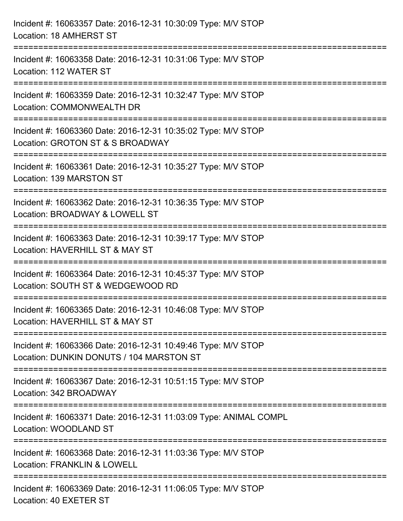| Incident #: 16063357 Date: 2016-12-31 10:30:09 Type: M/V STOP<br>Location: 18 AMHERST ST                                                                     |
|--------------------------------------------------------------------------------------------------------------------------------------------------------------|
| ===============================<br>Incident #: 16063358 Date: 2016-12-31 10:31:06 Type: M/V STOP<br>Location: 112 WATER ST                                   |
| Incident #: 16063359 Date: 2016-12-31 10:32:47 Type: M/V STOP<br>Location: COMMONWEALTH DR                                                                   |
| -------------------------<br>Incident #: 16063360 Date: 2016-12-31 10:35:02 Type: M/V STOP<br>Location: GROTON ST & S BROADWAY<br>:========================= |
| Incident #: 16063361 Date: 2016-12-31 10:35:27 Type: M/V STOP<br>Location: 139 MARSTON ST                                                                    |
| Incident #: 16063362 Date: 2016-12-31 10:36:35 Type: M/V STOP<br>Location: BROADWAY & LOWELL ST                                                              |
| :=========================<br>Incident #: 16063363 Date: 2016-12-31 10:39:17 Type: M/V STOP<br>Location: HAVERHILL ST & MAY ST                               |
| Incident #: 16063364 Date: 2016-12-31 10:45:37 Type: M/V STOP<br>Location: SOUTH ST & WEDGEWOOD RD                                                           |
| Incident #: 16063365 Date: 2016-12-31 10:46:08 Type: M/V STOP<br>Location: HAVERHILL ST & MAY ST                                                             |
| Incident #: 16063366 Date: 2016-12-31 10:49:46 Type: M/V STOP<br>Location: DUNKIN DONUTS / 104 MARSTON ST                                                    |
| Incident #: 16063367 Date: 2016-12-31 10:51:15 Type: M/V STOP<br>Location: 342 BROADWAY                                                                      |
| Incident #: 16063371 Date: 2016-12-31 11:03:09 Type: ANIMAL COMPL<br>Location: WOODLAND ST                                                                   |
| Incident #: 16063368 Date: 2016-12-31 11:03:36 Type: M/V STOP<br><b>Location: FRANKLIN &amp; LOWELL</b>                                                      |
| Incident #: 16063369 Date: 2016-12-31 11:06:05 Type: M/V STOP<br>Location: 40 EXETER ST                                                                      |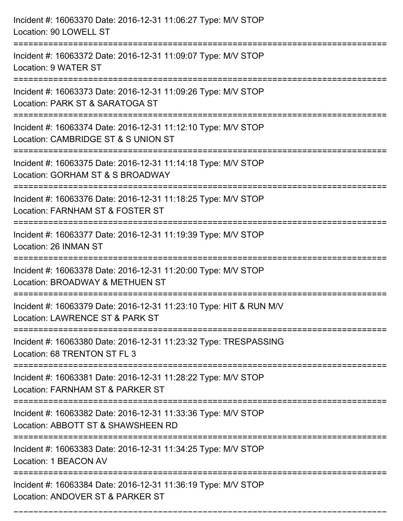| Incident #: 16063370 Date: 2016-12-31 11:06:27 Type: M/V STOP<br>Location: 90 LOWELL ST                                          |
|----------------------------------------------------------------------------------------------------------------------------------|
| Incident #: 16063372 Date: 2016-12-31 11:09:07 Type: M/V STOP<br>Location: 9 WATER ST                                            |
| Incident #: 16063373 Date: 2016-12-31 11:09:26 Type: M/V STOP<br>Location: PARK ST & SARATOGA ST<br>:=========================== |
| Incident #: 16063374 Date: 2016-12-31 11:12:10 Type: M/V STOP<br>Location: CAMBRIDGE ST & S UNION ST                             |
| Incident #: 16063375 Date: 2016-12-31 11:14:18 Type: M/V STOP<br>Location: GORHAM ST & S BROADWAY<br>==================          |
| Incident #: 16063376 Date: 2016-12-31 11:18:25 Type: M/V STOP<br>Location: FARNHAM ST & FOSTER ST                                |
| Incident #: 16063377 Date: 2016-12-31 11:19:39 Type: M/V STOP<br>Location: 26 INMAN ST<br>=======================                |
| Incident #: 16063378 Date: 2016-12-31 11:20:00 Type: M/V STOP<br>Location: BROADWAY & METHUEN ST                                 |
| Incident #: 16063379 Date: 2016-12-31 11:23:10 Type: HIT & RUN M/V<br>Location: LAWRENCE ST & PARK ST                            |
| Incident #: 16063380 Date: 2016-12-31 11:23:32 Type: TRESPASSING<br>Location: 68 TRENTON ST FL 3                                 |
| Incident #: 16063381 Date: 2016-12-31 11:28:22 Type: M/V STOP<br>Location: FARNHAM ST & PARKER ST                                |
| Incident #: 16063382 Date: 2016-12-31 11:33:36 Type: M/V STOP<br>Location: ABBOTT ST & SHAWSHEEN RD                              |
| Incident #: 16063383 Date: 2016-12-31 11:34:25 Type: M/V STOP<br>Location: 1 BEACON AV                                           |
| Incident #: 16063384 Date: 2016-12-31 11:36:19 Type: M/V STOP<br>Location: ANDOVER ST & PARKER ST                                |

===========================================================================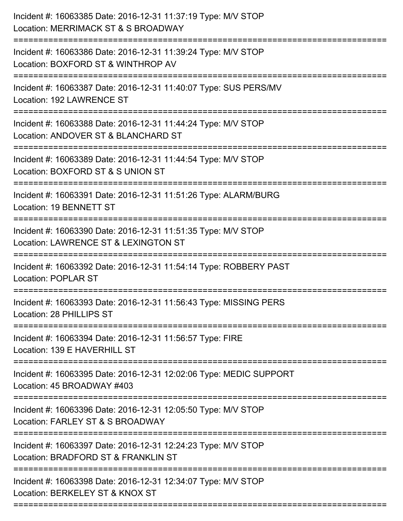| Incident #: 16063385 Date: 2016-12-31 11:37:19 Type: M/V STOP<br>Location: MERRIMACK ST & S BROADWAY                         |
|------------------------------------------------------------------------------------------------------------------------------|
| Incident #: 16063386 Date: 2016-12-31 11:39:24 Type: M/V STOP<br>Location: BOXFORD ST & WINTHROP AV                          |
| Incident #: 16063387 Date: 2016-12-31 11:40:07 Type: SUS PERS/MV<br>Location: 192 LAWRENCE ST                                |
| Incident #: 16063388 Date: 2016-12-31 11:44:24 Type: M/V STOP<br>Location: ANDOVER ST & BLANCHARD ST                         |
| Incident #: 16063389 Date: 2016-12-31 11:44:54 Type: M/V STOP<br>Location: BOXFORD ST & S UNION ST<br>====================== |
| Incident #: 16063391 Date: 2016-12-31 11:51:26 Type: ALARM/BURG<br>Location: 19 BENNETT ST                                   |
| Incident #: 16063390 Date: 2016-12-31 11:51:35 Type: M/V STOP<br>Location: LAWRENCE ST & LEXINGTON ST                        |
| Incident #: 16063392 Date: 2016-12-31 11:54:14 Type: ROBBERY PAST<br>Location: POPLAR ST                                     |
| Incident #: 16063393 Date: 2016-12-31 11:56:43 Type: MISSING PERS<br>Location: 28 PHILLIPS ST                                |
| Incident #: 16063394 Date: 2016-12-31 11:56:57 Type: FIRE<br>Location: 139 E HAVERHILL ST                                    |
| Incident #: 16063395 Date: 2016-12-31 12:02:06 Type: MEDIC SUPPORT<br>Location: 45 BROADWAY #403                             |
| ============<br>Incident #: 16063396 Date: 2016-12-31 12:05:50 Type: M/V STOP<br>Location: FARLEY ST & S BROADWAY            |
| Incident #: 16063397 Date: 2016-12-31 12:24:23 Type: M/V STOP<br>Location: BRADFORD ST & FRANKLIN ST                         |
| Incident #: 16063398 Date: 2016-12-31 12:34:07 Type: M/V STOP<br>Location: BERKELEY ST & KNOX ST                             |
|                                                                                                                              |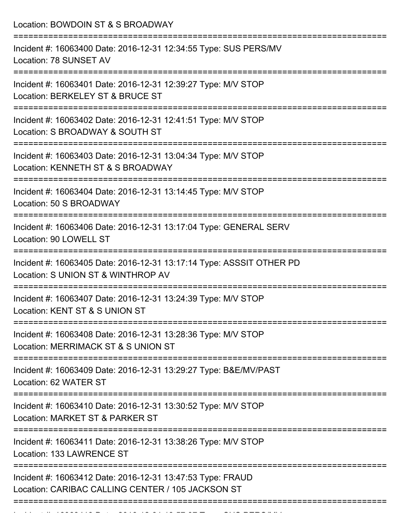Location: BOWDOIN ST & S BROADWAY =========================================================================== Incident #: 16063400 Date: 2016-12-31 12:34:55 Type: SUS PERS/MV Location: 78 SUNSET AV =========================================================================== Incident #: 16063401 Date: 2016-12-31 12:39:27 Type: M/V STOP Location: BERKELEY ST & BRUCE ST =========================================================================== Incident #: 16063402 Date: 2016-12-31 12:41:51 Type: M/V STOP Location: S BROADWAY & SOUTH ST =========================================================================== Incident #: 16063403 Date: 2016-12-31 13:04:34 Type: M/V STOP Location: KENNETH ST & S BROADWAY =========================================================================== Incident #: 16063404 Date: 2016-12-31 13:14:45 Type: M/V STOP Location: 50 S BROADWAY =========================================================================== Incident #: 16063406 Date: 2016-12-31 13:17:04 Type: GENERAL SERV Location: 90 LOWELL ST =========================================================================== Incident #: 16063405 Date: 2016-12-31 13:17:14 Type: ASSSIT OTHER PD Location: S UNION ST & WINTHROP AV =========================================================================== Incident #: 16063407 Date: 2016-12-31 13:24:39 Type: M/V STOP Location: KENT ST & S UNION ST =========================================================================== Incident #: 16063408 Date: 2016-12-31 13:28:36 Type: M/V STOP Location: MERRIMACK ST & S UNION ST =========================================================================== Incident #: 16063409 Date: 2016-12-31 13:29:27 Type: B&E/MV/PAST Location: 62 WATER ST =========================================================================== Incident #: 16063410 Date: 2016-12-31 13:30:52 Type: M/V STOP Location: MARKET ST & PARKER ST =========================================================================== Incident #: 16063411 Date: 2016-12-31 13:38:26 Type: M/V STOP Location: 133 LAWRENCE ST =========================================================================== Incident #: 16063412 Date: 2016-12-31 13:47:53 Type: FRAUD Location: CARIBAC CALLING CENTER / 105 JACKSON ST ===========================================================================

Incident #: 16063413 Date: 2016 12 31 13:57:07 Type: 2016 PERS/MV<br>.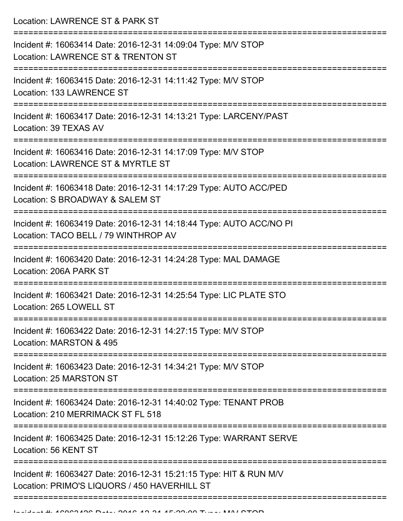Location: LAWRENCE ST & PARK ST

| Incident #: 16063414 Date: 2016-12-31 14:09:04 Type: M/V STOP<br>Location: LAWRENCE ST & TRENTON ST                |
|--------------------------------------------------------------------------------------------------------------------|
| Incident #: 16063415 Date: 2016-12-31 14:11:42 Type: M/V STOP<br>Location: 133 LAWRENCE ST                         |
| Incident #: 16063417 Date: 2016-12-31 14:13:21 Type: LARCENY/PAST<br>Location: 39 TEXAS AV                         |
| Incident #: 16063416 Date: 2016-12-31 14:17:09 Type: M/V STOP<br>Location: LAWRENCE ST & MYRTLE ST                 |
| Incident #: 16063418 Date: 2016-12-31 14:17:29 Type: AUTO ACC/PED<br>Location: S BROADWAY & SALEM ST               |
| Incident #: 16063419 Date: 2016-12-31 14:18:44 Type: AUTO ACC/NO PI<br>Location: TACO BELL / 79 WINTHROP AV        |
| Incident #: 16063420 Date: 2016-12-31 14:24:28 Type: MAL DAMAGE<br>Location: 206A PARK ST                          |
| Incident #: 16063421 Date: 2016-12-31 14:25:54 Type: LIC PLATE STO<br>Location: 265 LOWELL ST                      |
| Incident #: 16063422 Date: 2016-12-31 14:27:15 Type: M/V STOP<br>Location: MARSTON & 495                           |
| Incident #: 16063423 Date: 2016-12-31 14:34:21 Type: M/V STOP<br>Location: 25 MARSTON ST                           |
| Incident #: 16063424 Date: 2016-12-31 14:40:02 Type: TENANT PROB<br>Location: 210 MERRIMACK ST FL 518              |
| Incident #: 16063425 Date: 2016-12-31 15:12:26 Type: WARRANT SERVE<br>Location: 56 KENT ST                         |
| Incident #: 16063427 Date: 2016-12-31 15:21:15 Type: HIT & RUN M/V<br>Location: PRIMO'S LIQUORS / 450 HAVERHILL ST |
|                                                                                                                    |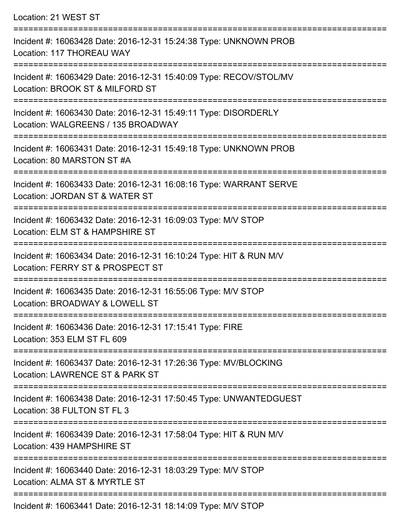Location: 21 WEST ST =========================================================================== Incident #: 16063428 Date: 2016-12-31 15:24:38 Type: UNKNOWN PROB Location: 117 THOREAU WAY =========================================================================== Incident #: 16063429 Date: 2016-12-31 15:40:09 Type: RECOV/STOL/MV Location: BROOK ST & MILFORD ST =========================================================================== Incident #: 16063430 Date: 2016-12-31 15:49:11 Type: DISORDERLY Location: WALGREENS / 135 BROADWAY =========================================================================== Incident #: 16063431 Date: 2016-12-31 15:49:18 Type: UNKNOWN PROB Location: 80 MARSTON ST #A =========================================================================== Incident #: 16063433 Date: 2016-12-31 16:08:16 Type: WARRANT SERVE Location: JORDAN ST & WATER ST =========================================================================== Incident #: 16063432 Date: 2016-12-31 16:09:03 Type: M/V STOP Location: ELM ST & HAMPSHIRE ST =========================================================================== Incident #: 16063434 Date: 2016-12-31 16:10:24 Type: HIT & RUN M/V Location: FERRY ST & PROSPECT ST =========================================================================== Incident #: 16063435 Date: 2016-12-31 16:55:06 Type: M/V STOP Location: BROADWAY & LOWELL ST =========================================================================== Incident #: 16063436 Date: 2016-12-31 17:15:41 Type: FIRE Location: 353 ELM ST FL 609 =========================================================================== Incident #: 16063437 Date: 2016-12-31 17:26:36 Type: MV/BLOCKING Location: LAWRENCE ST & PARK ST =========================================================================== Incident #: 16063438 Date: 2016-12-31 17:50:45 Type: UNWANTEDGUEST Location: 38 FULTON ST FL 3 =========================================================================== Incident #: 16063439 Date: 2016-12-31 17:58:04 Type: HIT & RUN M/V Location: 439 HAMPSHIRE ST =========================================================================== Incident #: 16063440 Date: 2016-12-31 18:03:29 Type: M/V STOP Location: ALMA ST & MYRTLE ST ===========================================================================

Incident #: 16063441 Date: 2016-12-31 18:14:09 Type: M/V STOP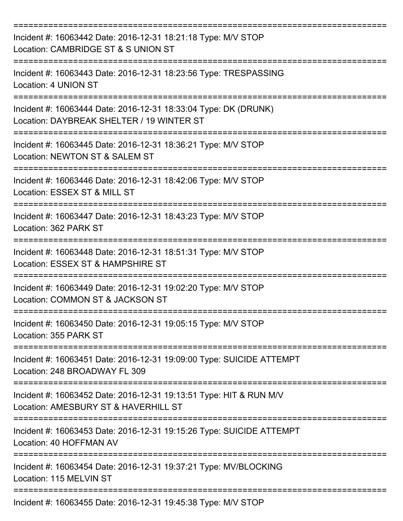| Incident #: 16063442 Date: 2016-12-31 18:21:18 Type: M/V STOP<br>Location: CAMBRIDGE ST & S UNION ST         |
|--------------------------------------------------------------------------------------------------------------|
| Incident #: 16063443 Date: 2016-12-31 18:23:56 Type: TRESPASSING<br>Location: 4 UNION ST                     |
| Incident #: 16063444 Date: 2016-12-31 18:33:04 Type: DK (DRUNK)<br>Location: DAYBREAK SHELTER / 19 WINTER ST |
| Incident #: 16063445 Date: 2016-12-31 18:36:21 Type: M/V STOP<br>Location: NEWTON ST & SALEM ST              |
| Incident #: 16063446 Date: 2016-12-31 18:42:06 Type: M/V STOP<br>Location: ESSEX ST & MILL ST                |
| Incident #: 16063447 Date: 2016-12-31 18:43:23 Type: M/V STOP<br>Location: 362 PARK ST                       |
| Incident #: 16063448 Date: 2016-12-31 18:51:31 Type: M/V STOP<br>Location: ESSEX ST & HAMPSHIRE ST           |
| Incident #: 16063449 Date: 2016-12-31 19:02:20 Type: M/V STOP<br>Location: COMMON ST & JACKSON ST            |
| Incident #: 16063450 Date: 2016-12-31 19:05:15 Type: M/V STOP<br>Location: 355 PARK ST                       |
| Incident #: 16063451 Date: 2016-12-31 19:09:00 Type: SUICIDE ATTEMPT<br>Location: 248 BROADWAY FL 309        |
| Incident #: 16063452 Date: 2016-12-31 19:13:51 Type: HIT & RUN M/V<br>Location: AMESBURY ST & HAVERHILL ST   |
| Incident #: 16063453 Date: 2016-12-31 19:15:26 Type: SUICIDE ATTEMPT<br>Location: 40 HOFFMAN AV              |
| Incident #: 16063454 Date: 2016-12-31 19:37:21 Type: MV/BLOCKING<br>Location: 115 MELVIN ST                  |
| Incident #: 16063455 Date: 2016-12-31 19:45:38 Type: M/V STOP                                                |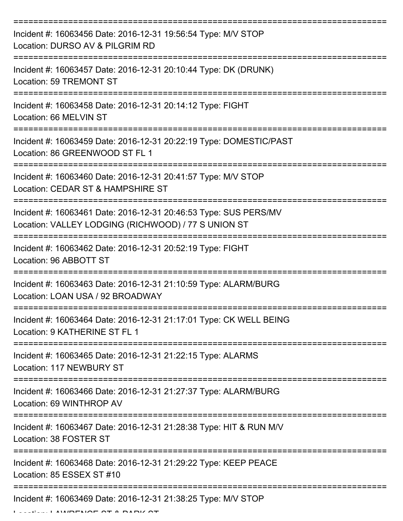| Incident #: 16063456 Date: 2016-12-31 19:56:54 Type: M/V STOP<br>Location: DURSO AV & PILGRIM RD                        |
|-------------------------------------------------------------------------------------------------------------------------|
| Incident #: 16063457 Date: 2016-12-31 20:10:44 Type: DK (DRUNK)<br>Location: 59 TREMONT ST                              |
| Incident #: 16063458 Date: 2016-12-31 20:14:12 Type: FIGHT<br>Location: 66 MELVIN ST                                    |
| Incident #: 16063459 Date: 2016-12-31 20:22:19 Type: DOMESTIC/PAST<br>Location: 86 GREENWOOD ST FL 1                    |
| Incident #: 16063460 Date: 2016-12-31 20:41:57 Type: M/V STOP<br>Location: CEDAR ST & HAMPSHIRE ST                      |
| Incident #: 16063461 Date: 2016-12-31 20:46:53 Type: SUS PERS/MV<br>Location: VALLEY LODGING (RICHWOOD) / 77 S UNION ST |
| Incident #: 16063462 Date: 2016-12-31 20:52:19 Type: FIGHT<br>Location: 96 ABBOTT ST                                    |
| ==========<br>Incident #: 16063463 Date: 2016-12-31 21:10:59 Type: ALARM/BURG<br>Location: LOAN USA / 92 BROADWAY       |
| Incident #: 16063464 Date: 2016-12-31 21:17:01 Type: CK WELL BEING<br>Location: 9 KATHERINE ST FL 1                     |
| Incident #: 16063465 Date: 2016-12-31 21:22:15 Type: ALARMS<br>Location: 117 NEWBURY ST                                 |
| Incident #: 16063466 Date: 2016-12-31 21:27:37 Type: ALARM/BURG<br>Location: 69 WINTHROP AV                             |
| Incident #: 16063467 Date: 2016-12-31 21:28:38 Type: HIT & RUN M/V<br>Location: 38 FOSTER ST                            |
| Incident #: 16063468 Date: 2016-12-31 21:29:22 Type: KEEP PEACE<br>Location: 85 ESSEX ST #10                            |
| Incident #: 16063469 Date: 2016-12-31 21:38:25 Type: M/V STOP                                                           |